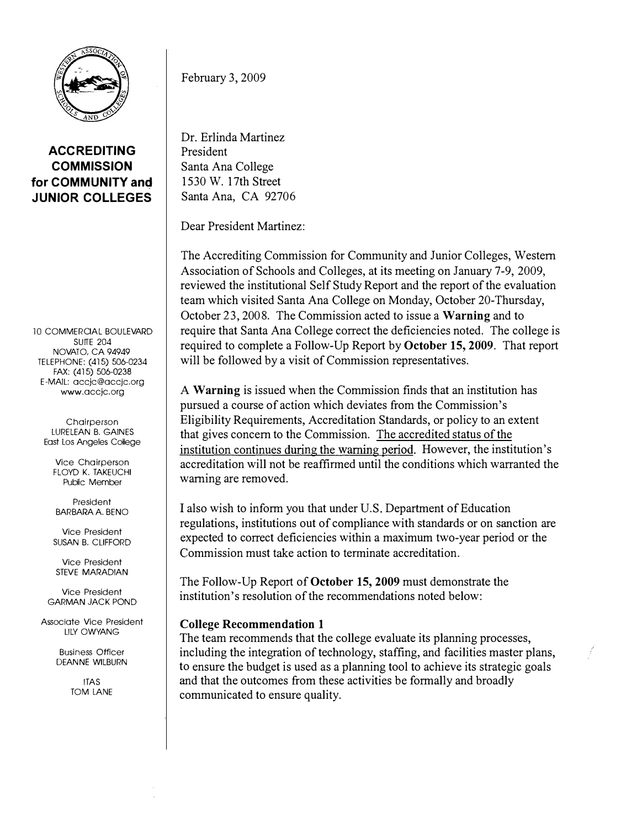

ACCREDITING **COMMISSION** for COMMUNITY and JUNIOR COLLEGES

10 COMMERCIAL BOULEVARD **SUITE 204** NOVATO, CA 94949 TELEPHONE: (415) 506-0234 FAX: (415) 506-0238 E-MAIL: accjc@accjc.org www.accjc.org

Chairperson LURELEAN B. GAINES East Los Angeles College

Vice Chairperson FLOYD K. TAKEUCHI Public Member

President BARBARA A. BENO

Vice President SUSAN B. CLIFFORD

Vice President STEVE MARADIAN

Vice President **GARMAN JACK POND** 

Associate Vice President LILY OWYANG

> Business Officer DEANNE WILBURN

> > **ITAS** TOM LANE

February 3, 2009

Dr. Erlinda Martinez President Santa Ana College 1 530 W. 1 7th Street Santa Ana, CA 92706

Dear President Martinez:

The Accrediting Commission for Community and Junior Colleges, Western Association of Schools and Colleges, at its meeting on January 7-9, 2009, reviewed the institutional Self Study Report and the report of the evaluation team which visited Santa Ana College on Monday, October 20-Thursday, October 23, 2008. The Commission acted to issue a Warning and to require that Santa Ana College correct the deficiencies noted. The college is required to complete a Follow-Up Report by October 15,2009. That report will be followed by a visit of Commission representatives.

A Warning is issued when the Commission finds that an institution has pursued a course of action which deviates from the Commission's Eligibility Requirements, Accreditation Standards, or policy to an extent that gives concern to the Commission. The accredited status of the institution continues during the warning period. However, the institution's accreditation will not be reaffirmed until the conditions which warranted the warning are removed.

I also wish to inform you that under U.S. Department of Education regulations, institutions out of compliance with standards or on sanction are expected to correct deficiencies within a maximum two-year period or the Commission must take action to terminate accreditation.

The Follow-Up Report of October 15, 2009 must demonstrate the institution's resolution of the recommendations noted below:

## College Recommendation 1

The team recommends that the college evaluate its planning processes, including the integration of technology, staffing, and facilities master plans, to ensure the budget is used as a planning tool to achieve its strategic goals and that the outcomes from these activities be formally and broadly communicated to ensure quality.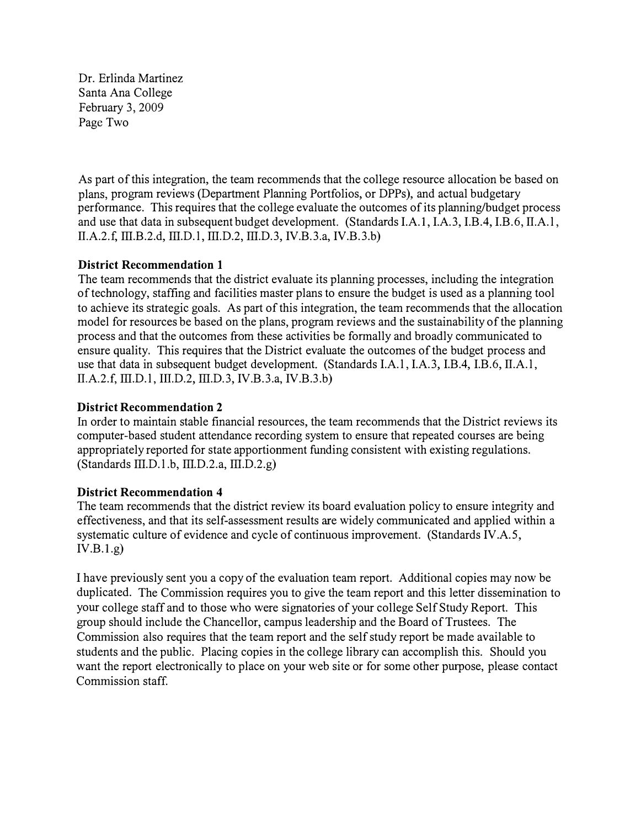Dr. Erlinda Martinez Santa Ana College February 3, 2009 Page Two

As part of this integration, the team recommends that the college resource allocation be based on plans, program reviews (Department Planning Portfolios, or DPPs), and actual budgetary performance. This requires that the college evaluate the outcomes of its planning/budget process and use that data in subsequent budget development. (Standards I.A.l, I.A.3, I.B.4, I.B.6, II.A.l, II.A.2.f, III.B.2.d, III.D.l, III.D.2, III.D.3, IV.B.3.a, IV.B.3.b)

## District Recommendation 1

The team recommends that the district evaluate its planning processes, including the integration of technology, staffing and facilities master plans to ensure the budget is used as a planning tool to achieve its strategic goals. As part of this integration, the team recommends that the allocation model for resources be based on the plans, program reviews and the sustainability of the planning process and that the outcomes from these activities be formally and broadly communicated to ensure quality. This requires that the District evaluate the outcomes of the budget process and use that data in subsequent budget development. (Standards I.A.l, I.A.3, I.B.4, I.B.6, II.A.l, II.A.2.f, III.D.l, III.D.2, III.D.3, IV.B.3.a, IV.B.3.b)

## District Recommendation 2

In order to maintain stable financial resources, the team recommends that the District reviews its computer-based student attendance recording system to ensure that repeated courses are being appropriately reported for state apportionment funding consistent with existing regulations.  $(Standards III.D.1.b, III.D.2.a, III.D.2.g)$ 

## District Recommendation 4

The team recommends that the district review its board evaluation policy to ensure integrity and effectiveness, and that its self-assessment results are widely communicated and applied within a systematic culture of evidence and cycle of continuous improvement. (Standards IV.A.5,  $IV.B.1.g)$ 

I have previously sent you a copy of the evaluation team report. Additional copies may now be duplicated. The Commission requires you to give the team report and this letter dissemination to your college staff and to those who were signatories of your college Self Study Report. This group should include the Chancellor, campus leadership and the Board of Trustees. The Commission also requires that the team report and the self study report be made available to students and the public. Placing copies in the college library can accomplish this. Should you want the report electronically to place on your web site or for some other purpose, please contact Commission staff.